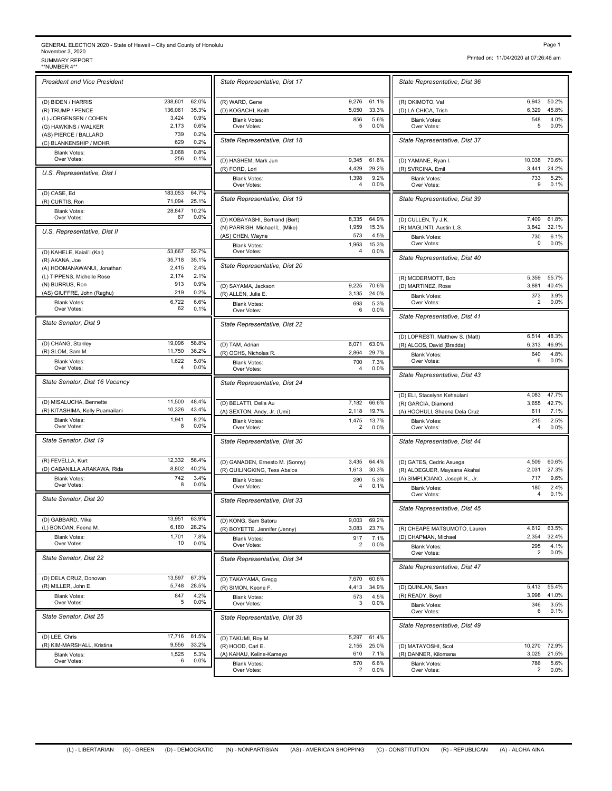## GENERAL ELECTION 2020 - State of Hawaii – City and County of Honolulu<br>November 3, 2020<br>\*\*NUMBER 4\*\* SURMARY REPORT<br>\*\*NUMBER 4\*\*

| <b>President and Vice President</b> |              |               | State Representative, Dist 1             |
|-------------------------------------|--------------|---------------|------------------------------------------|
| (D) BIDEN / HARRIS                  | 238,601      | 62.0%         | (R) WARD, Gene                           |
| (R) TRUMP / PENCE                   | 136,061      | 35.3%         |                                          |
|                                     | 3,424        | 0.9%          | (D) KOGACHI, Keith                       |
| (L) JORGENSEN / COHEN               |              |               | <b>Blank Votes:</b>                      |
| (G) HAWKINS / WALKER                | 2,173        | 0.6%          | Over Votes:                              |
| (AS) PIERCE / BALLARD               | 739          | 0.2%          | State Representative, Dist 1             |
| (C) BLANKENSHIP / MOHR              | 629          | 0.2%          |                                          |
| <b>Blank Votes:</b>                 | 3,068        | 0.8%          |                                          |
| Over Votes:                         | 256          | 0.1%          | (D) HASHEM, Mark Jun                     |
|                                     |              |               | (R) FORD, Lori                           |
| U.S. Representative, Dist I         |              |               | <b>Blank Votes:</b>                      |
|                                     |              |               | Over Votes:                              |
| (D) CASE, Ed                        | 183,053      | 64.7%         |                                          |
| (R) CURTIS, Ron                     | 71,094       | 25.1%         | State Representative, Dist               |
|                                     |              |               |                                          |
| <b>Blank Votes:</b>                 | 28,847<br>67 | 10.2%<br>0.0% |                                          |
| Over Votes:                         |              |               | (D) KOBAYASHI, Bertrand (Bert            |
| U.S. Representative, Dist II        |              |               | (N) PARRISH, Michael L. (Mike)           |
|                                     |              |               | (AS) CHEN, Wayne                         |
|                                     |              |               | <b>Blank Votes:</b>                      |
| (D) KAHELE, Kaiali'i (Kai)          | 53,667       | 52.7%         | Over Votes:                              |
| (R) AKANA, Joe                      | 35,718       | 35.1%         |                                          |
| (A) HOOMANAWANUI, Jonathan          | 2,415        | 2.4%          | State Representative, Dist 2             |
| (L) TIPPENS, Michelle Rose          | 2,174        | 2.1%          |                                          |
|                                     | 913          | 0.9%          |                                          |
| (N) BURRUS, Ron                     |              |               | (D) SAYAMA, Jackson                      |
| (AS) GIUFFRE, John (Raghu)          | 219          | 0.2%          | (R) ALLEN, Julia E.                      |
| <b>Blank Votes:</b>                 | 6,722        | 6.6%          | <b>Blank Votes:</b>                      |
| Over Votes:                         | 62           | 0.1%          | Over Votes:                              |
| State Senator, Dist 9               |              |               | State Representative, Dist 2             |
| (D) CHANG, Stanley                  | 19,096       | 58.8%         |                                          |
| (R) SLOM, Sam M.                    | 11,750       | 36.2%         | (D) TAM, Adrian                          |
|                                     |              |               | (R) OCHS, Nicholas R.                    |
| <b>Blank Votes:</b><br>Over Votes:  | 1,622<br>4   | 5.0%<br>0.0%  | <b>Blank Votes:</b><br>Over Votes:       |
| State Senator, Dist 16 Vacancy      |              |               | State Representative, Dist 2             |
| (D) MISALUCHA, Bennette             | 11,500       | 48.4%         |                                          |
|                                     | 10,326       | 43.4%         | (D) BELATTI, Della Au                    |
| (R) KITASHIMA, Kelly Puamailani     |              |               | (A) SEXTON, Andy, Jr. (Umi)              |
| <b>Blank Votes:</b>                 | 1,941<br>8   | 8.2%<br>0.0%  | <b>Blank Votes:</b>                      |
| Over Votes:                         |              |               | Over Votes:                              |
| State Senator, Dist 19              |              |               | State Representative, Dist 3             |
| (R) FEVELLA, Kurt                   | 12.332       | 56.4%         | (D) GANADEN, Ernesto M. (Sor             |
| (D) CABANILLA ARAKAWA, Rida         | 8,802        | 40.2%         | (R) QUILINGKING, Tess Abalos             |
| <b>Blank Votes:</b>                 | 742          | 3.4%          | <b>Blank Votes:</b>                      |
| Over Votes:                         | 8            | 0.0%          | Over Votes:                              |
| State Senator, Dist 20              |              |               | State Representative, Dist 3             |
| (D) GABBARD, Mike                   | 13,951       | 63.9%         | (D) KONG, Sam Satoru                     |
| (L) BONOAN, Feena M.                | 6,160        | 28.2%         |                                          |
|                                     |              |               | (R) BOYETTE, Jennifer (Jenny)            |
| <b>Blank Votes:</b><br>Over Votes:  | 1,701<br>10  | 7.8%<br>0.0%  | <b>Blank Votes:</b><br>Over Votes:       |
| State Senator, Dist 22              |              |               |                                          |
|                                     |              |               | State Representative, Dist 3             |
| (D) DELA CRUZ, Donovan              | 13,597       | 67.3%         | (D) TAKAYAMA, Gregg                      |
| (R) MILLER, John E.                 | 5,748        | 28.5%         | (R) SIMON, Keone F.                      |
| <b>Blank Votes:</b><br>Over Votes:  | 847<br>5     | 4.2%<br>0.0%  | Blank Votes:                             |
| State Senator, Dist 25              |              |               | Over Votes:                              |
|                                     |              |               | State Representative, Dist 3             |
| (D) LEE, Chris                      | 17,716       | 61.5%         | (D) TAKUMI, Roy M.                       |
| (R) KIM-MARSHALL, Kristina          | 9,556        | 33.2%         | (R) HOOD, Carl E.                        |
|                                     |              |               |                                          |
| Blank Votes:<br>Over Votes:         | 1,525<br>6   | 5.3%<br>0.0%  | (A) KAHAU, Keline-Kameyo<br>Diank Maton: |
|                                     |              |               |                                          |

|                                    |                                                                                                                                                                                                                                                                                                                                                                                                                                                                                                                             |                                                                                                                               | State Representative, Dist 3                                                                                                                          |
|------------------------------------|-----------------------------------------------------------------------------------------------------------------------------------------------------------------------------------------------------------------------------------------------------------------------------------------------------------------------------------------------------------------------------------------------------------------------------------------------------------------------------------------------------------------------------|-------------------------------------------------------------------------------------------------------------------------------|-------------------------------------------------------------------------------------------------------------------------------------------------------|
|                                    |                                                                                                                                                                                                                                                                                                                                                                                                                                                                                                                             |                                                                                                                               |                                                                                                                                                       |
| (R) WARD, Gene                     | 9.276                                                                                                                                                                                                                                                                                                                                                                                                                                                                                                                       | 61.1%                                                                                                                         | (R) OKIMOTO, Val<br>(D) LA CHICA, Trish                                                                                                               |
| <b>Blank Votes:</b>                | 856                                                                                                                                                                                                                                                                                                                                                                                                                                                                                                                         | 5.6%                                                                                                                          | <b>Blank Votes:</b>                                                                                                                                   |
| Over Votes:                        |                                                                                                                                                                                                                                                                                                                                                                                                                                                                                                                             |                                                                                                                               | Over Votes:                                                                                                                                           |
| State Representative, Dist 18      |                                                                                                                                                                                                                                                                                                                                                                                                                                                                                                                             |                                                                                                                               | State Representative, Dist 3                                                                                                                          |
| (D) HASHEM, Mark Jun               | 9,345                                                                                                                                                                                                                                                                                                                                                                                                                                                                                                                       | 61.6%                                                                                                                         | (D) YAMANE, Ryan I.                                                                                                                                   |
| (R) FORD, Lori                     | 4,429                                                                                                                                                                                                                                                                                                                                                                                                                                                                                                                       |                                                                                                                               | (R) SVRCINA, Emil                                                                                                                                     |
| Over Votes:                        | 4                                                                                                                                                                                                                                                                                                                                                                                                                                                                                                                           | 0.0%                                                                                                                          | <b>Blank Votes:</b><br>Over Votes:                                                                                                                    |
| State Representative, Dist 19      |                                                                                                                                                                                                                                                                                                                                                                                                                                                                                                                             |                                                                                                                               | State Representative, Dist :                                                                                                                          |
| (D) KOBAYASHI, Bertrand (Bert)     | 8,335                                                                                                                                                                                                                                                                                                                                                                                                                                                                                                                       | 64.9%                                                                                                                         | (D) CULLEN, Ty J.K.                                                                                                                                   |
| (AS) CHEN, Wayne                   | 573                                                                                                                                                                                                                                                                                                                                                                                                                                                                                                                         | 4.5%                                                                                                                          | (R) MAGLINTI, Austin L.S.<br><b>Blank Votes:</b>                                                                                                      |
| <b>Blank Votes:</b>                | 1,963                                                                                                                                                                                                                                                                                                                                                                                                                                                                                                                       | 15.3%                                                                                                                         | Over Votes:                                                                                                                                           |
| State Representative, Dist 20      |                                                                                                                                                                                                                                                                                                                                                                                                                                                                                                                             |                                                                                                                               | State Representative, Dist 4                                                                                                                          |
|                                    |                                                                                                                                                                                                                                                                                                                                                                                                                                                                                                                             |                                                                                                                               | (R) MCDERMOTT, Bob                                                                                                                                    |
|                                    |                                                                                                                                                                                                                                                                                                                                                                                                                                                                                                                             |                                                                                                                               | (D) MARTINEZ, Rose                                                                                                                                    |
| <b>Blank Votes:</b>                | 693                                                                                                                                                                                                                                                                                                                                                                                                                                                                                                                         | 5.3%                                                                                                                          | <b>Blank Votes:</b><br>Over Votes:                                                                                                                    |
|                                    |                                                                                                                                                                                                                                                                                                                                                                                                                                                                                                                             |                                                                                                                               | State Representative, Dist 4                                                                                                                          |
|                                    |                                                                                                                                                                                                                                                                                                                                                                                                                                                                                                                             |                                                                                                                               | (D) LOPRESTI, Matthew S. (Ma                                                                                                                          |
| (D) TAM, Adrian                    | 6,071                                                                                                                                                                                                                                                                                                                                                                                                                                                                                                                       | 63.0%                                                                                                                         | (R) ALCOS, David (Bradda)                                                                                                                             |
| <b>Blank Votes:</b>                | 700                                                                                                                                                                                                                                                                                                                                                                                                                                                                                                                         | 7.3%                                                                                                                          | <b>Blank Votes:</b><br>Over Votes:                                                                                                                    |
|                                    |                                                                                                                                                                                                                                                                                                                                                                                                                                                                                                                             |                                                                                                                               | State Representative, Dist 4                                                                                                                          |
|                                    |                                                                                                                                                                                                                                                                                                                                                                                                                                                                                                                             |                                                                                                                               | (D) ELI, Stacelynn Kehaulani                                                                                                                          |
| (D) BELATTI, Della Au              | 7,182                                                                                                                                                                                                                                                                                                                                                                                                                                                                                                                       | 66.6%                                                                                                                         | (R) GARCIA, Diamond                                                                                                                                   |
| <b>Blank Votes:</b>                | 1,475                                                                                                                                                                                                                                                                                                                                                                                                                                                                                                                       | 13.7%                                                                                                                         | (A) HOOHULI, Shaena Dela Cru<br><b>Blank Votes:</b>                                                                                                   |
| Over Votes:                        | 2                                                                                                                                                                                                                                                                                                                                                                                                                                                                                                                           | 0.0%                                                                                                                          | Over Votes:                                                                                                                                           |
| State Representative, Dist 30      |                                                                                                                                                                                                                                                                                                                                                                                                                                                                                                                             |                                                                                                                               | State Representative, Dist 4                                                                                                                          |
| (D) GANADEN, Ernesto M. (Sonny)    | 3,435                                                                                                                                                                                                                                                                                                                                                                                                                                                                                                                       | 64.4%                                                                                                                         | (D) GATES, Cedric Asuega                                                                                                                              |
|                                    |                                                                                                                                                                                                                                                                                                                                                                                                                                                                                                                             |                                                                                                                               | (R) ALDEGUER, Maysana Akah<br>(A) SIMPLICIANO, Joseph K., J                                                                                           |
| Over Votes:                        | 4                                                                                                                                                                                                                                                                                                                                                                                                                                                                                                                           | 0.1%                                                                                                                          | <b>Blank Votes:</b><br>Over Votes:                                                                                                                    |
|                                    |                                                                                                                                                                                                                                                                                                                                                                                                                                                                                                                             |                                                                                                                               | State Representative, Dist 4                                                                                                                          |
|                                    |                                                                                                                                                                                                                                                                                                                                                                                                                                                                                                                             |                                                                                                                               |                                                                                                                                                       |
| (R) BOYETTE, Jennifer (Jenny)      | 3,083                                                                                                                                                                                                                                                                                                                                                                                                                                                                                                                       | 23.7%                                                                                                                         | (R) CHEAPE MATSUMOTO, La                                                                                                                              |
| Blank Votes:<br>Over Votes:        | 2                                                                                                                                                                                                                                                                                                                                                                                                                                                                                                                           | 0.0%                                                                                                                          | (D) CHAPMAN, Michael<br><b>Blank Votes:</b><br>Over Votes:                                                                                            |
| State Representative, Dist 34      |                                                                                                                                                                                                                                                                                                                                                                                                                                                                                                                             |                                                                                                                               | State Representative, Dist 4                                                                                                                          |
|                                    | 7,670                                                                                                                                                                                                                                                                                                                                                                                                                                                                                                                       | 60.6%                                                                                                                         |                                                                                                                                                       |
| (R) SIMON, Keone F.                | 4,413                                                                                                                                                                                                                                                                                                                                                                                                                                                                                                                       | 34.9%                                                                                                                         | (D) QUINLAN, Sean                                                                                                                                     |
| <b>Blank Votes:</b><br>Over Votes: | 3                                                                                                                                                                                                                                                                                                                                                                                                                                                                                                                           | 0.0%                                                                                                                          | (R) READY, Boyd<br><b>Blank Votes:</b><br>Over Votes:                                                                                                 |
| State Representative, Dist 35      |                                                                                                                                                                                                                                                                                                                                                                                                                                                                                                                             |                                                                                                                               | State Representative, Dist 4                                                                                                                          |
| (D) TAKUMI, Roy M.                 | 5,297                                                                                                                                                                                                                                                                                                                                                                                                                                                                                                                       | 61.4%                                                                                                                         |                                                                                                                                                       |
| (R) HOOD, Carl E.                  | 2,155                                                                                                                                                                                                                                                                                                                                                                                                                                                                                                                       | 25.0%                                                                                                                         | (D) MATAYOSHI, Scot                                                                                                                                   |
|                                    | 570                                                                                                                                                                                                                                                                                                                                                                                                                                                                                                                         | 6.6%                                                                                                                          | (R) DANNER, Kilomana<br><b>Blank Votes:</b>                                                                                                           |
| Over Votes:                        | 2                                                                                                                                                                                                                                                                                                                                                                                                                                                                                                                           | 0.0%                                                                                                                          | Over Votes:                                                                                                                                           |
|                                    | State Representative, Dist 17<br>(D) KOGACHI, Keith<br><b>Blank Votes:</b><br>(N) PARRISH, Michael L. (Mike)<br>Over Votes:<br>(D) SAYAMA, Jackson<br>(R) ALLEN, Julia E.<br>Over Votes:<br>State Representative, Dist 22<br>(R) OCHS, Nicholas R.<br>Over Votes:<br>State Representative, Dist 24<br>(A) SEXTON, Andy, Jr. (Umi)<br>(R) QUILINGKING, Tess Abalos<br><b>Blank Votes:</b><br>State Representative, Dist 33<br>(D) KONG, Sam Satoru<br>(D) TAKAYAMA, Gregg<br>(A) KAHAU, Keline-Kameyo<br><b>Blank Votes:</b> | 5,050<br>5<br>1,398<br>1,959<br>4<br>9,225<br>3,135<br>6<br>2,864<br>4<br>2,118<br>1,613<br>280<br>9,003<br>917<br>573<br>610 | 33.3%<br>0.0%<br>29.2%<br>9.2%<br>15.3%<br>0.0%<br>70.6%<br>24.0%<br>0.0%<br>29.7%<br>0.0%<br>19.7%<br>30.3%<br>5.3%<br>69.2%<br>7.1%<br>4.5%<br>7.1% |

Printed on: 11/04/2020 at 07:26:46 am

| 6,943<br>50.2%<br>6,329<br>45.8%<br>548<br>4.0%<br><b>Blank Votes:</b><br>5<br>0.0%<br>Over Votes:<br>10,038<br>70.6%<br>3,441<br>24.2%<br>(R) SVRCINA, Emil<br>733<br>5.2%<br>Blank Votes:<br>9<br>0.1%<br>Over Votes:<br>State Representative, Dist 39<br>7,409<br>61.8%<br>3,842<br>32.1%<br>730<br>6.1%<br><b>Blank Votes:</b><br>Over Votes:<br>0<br>$0.0\%$<br>(R) MCDERMOTT, Bob<br>5,359<br>55.7%<br>3,881<br>40.4%<br>373<br>3.9%<br><b>Blank Votes:</b><br>2<br>0.0%<br>Over Votes:<br>6,514<br>48.3%<br>6,313<br>46.9%<br>640<br>4.8%<br><b>Blank Votes:</b><br>0.0%<br>Over Votes:<br>6<br>4,083<br>47.7%<br>42.7%<br>(R) GARCIA, Diamond<br>3,655<br>611<br>7.1%<br>(A) HOOHULI, Shaena Dela Cruz<br>215<br>2.5%<br>Blank Votes:<br>0.0%<br>4<br>Over Votes:<br>State Representative, Dist 44<br>4,509<br>60.6%<br>2,031<br>27.3%<br>(R) ALDEGUER, Maysana Akahai<br>717<br>9.6%<br>(A) SIMPLICIANO, Joseph K., Jr.<br>180<br>2.4%<br><b>Blank Votes:</b><br>0.1%<br>Over Votes:<br>4<br>(R) CHEAPE MATSUMOTO, Lauren<br>4,612<br>63.5%<br>2,354<br>32.4%<br>295<br>4.1%<br><b>Blank Votes:</b><br>2<br>$0.0\%$<br>Over Votes:<br>5,413<br>55.4%<br>(D) QUINLAN, Sean<br>3,998<br>41.0%<br>346<br>3.5%<br><b>Blank Votes:</b><br>6<br>0.1%<br>Over Votes:<br>10,270<br>(D) MATAYOSHI, Scot<br>72.9%<br>3,025<br>21.5%<br>786<br>5.6%<br>Blank Votes: | State Representative, Dist 36                    |   |      |
|-------------------------------------------------------------------------------------------------------------------------------------------------------------------------------------------------------------------------------------------------------------------------------------------------------------------------------------------------------------------------------------------------------------------------------------------------------------------------------------------------------------------------------------------------------------------------------------------------------------------------------------------------------------------------------------------------------------------------------------------------------------------------------------------------------------------------------------------------------------------------------------------------------------------------------------------------------------------------------------------------------------------------------------------------------------------------------------------------------------------------------------------------------------------------------------------------------------------------------------------------------------------------------------------------------------------------------------------------------------------|--------------------------------------------------|---|------|
|                                                                                                                                                                                                                                                                                                                                                                                                                                                                                                                                                                                                                                                                                                                                                                                                                                                                                                                                                                                                                                                                                                                                                                                                                                                                                                                                                                   | (R) OKIMOTO, Val                                 |   |      |
|                                                                                                                                                                                                                                                                                                                                                                                                                                                                                                                                                                                                                                                                                                                                                                                                                                                                                                                                                                                                                                                                                                                                                                                                                                                                                                                                                                   | (D) LA CHICA, Trish                              |   |      |
|                                                                                                                                                                                                                                                                                                                                                                                                                                                                                                                                                                                                                                                                                                                                                                                                                                                                                                                                                                                                                                                                                                                                                                                                                                                                                                                                                                   |                                                  |   |      |
|                                                                                                                                                                                                                                                                                                                                                                                                                                                                                                                                                                                                                                                                                                                                                                                                                                                                                                                                                                                                                                                                                                                                                                                                                                                                                                                                                                   | State Representative, Dist 37                    |   |      |
|                                                                                                                                                                                                                                                                                                                                                                                                                                                                                                                                                                                                                                                                                                                                                                                                                                                                                                                                                                                                                                                                                                                                                                                                                                                                                                                                                                   | (D) YAMANE, Ryan I.                              |   |      |
|                                                                                                                                                                                                                                                                                                                                                                                                                                                                                                                                                                                                                                                                                                                                                                                                                                                                                                                                                                                                                                                                                                                                                                                                                                                                                                                                                                   |                                                  |   |      |
|                                                                                                                                                                                                                                                                                                                                                                                                                                                                                                                                                                                                                                                                                                                                                                                                                                                                                                                                                                                                                                                                                                                                                                                                                                                                                                                                                                   |                                                  |   |      |
|                                                                                                                                                                                                                                                                                                                                                                                                                                                                                                                                                                                                                                                                                                                                                                                                                                                                                                                                                                                                                                                                                                                                                                                                                                                                                                                                                                   |                                                  |   |      |
|                                                                                                                                                                                                                                                                                                                                                                                                                                                                                                                                                                                                                                                                                                                                                                                                                                                                                                                                                                                                                                                                                                                                                                                                                                                                                                                                                                   | (D) CULLEN, Ty J.K.<br>(R) MAGLINTI, Austin L.S. |   |      |
|                                                                                                                                                                                                                                                                                                                                                                                                                                                                                                                                                                                                                                                                                                                                                                                                                                                                                                                                                                                                                                                                                                                                                                                                                                                                                                                                                                   |                                                  |   |      |
|                                                                                                                                                                                                                                                                                                                                                                                                                                                                                                                                                                                                                                                                                                                                                                                                                                                                                                                                                                                                                                                                                                                                                                                                                                                                                                                                                                   | State Representative, Dist 40                    |   |      |
|                                                                                                                                                                                                                                                                                                                                                                                                                                                                                                                                                                                                                                                                                                                                                                                                                                                                                                                                                                                                                                                                                                                                                                                                                                                                                                                                                                   |                                                  |   |      |
|                                                                                                                                                                                                                                                                                                                                                                                                                                                                                                                                                                                                                                                                                                                                                                                                                                                                                                                                                                                                                                                                                                                                                                                                                                                                                                                                                                   | (D) MARTINEZ, Rose                               |   |      |
|                                                                                                                                                                                                                                                                                                                                                                                                                                                                                                                                                                                                                                                                                                                                                                                                                                                                                                                                                                                                                                                                                                                                                                                                                                                                                                                                                                   |                                                  |   |      |
|                                                                                                                                                                                                                                                                                                                                                                                                                                                                                                                                                                                                                                                                                                                                                                                                                                                                                                                                                                                                                                                                                                                                                                                                                                                                                                                                                                   | State Representative, Dist 41                    |   |      |
|                                                                                                                                                                                                                                                                                                                                                                                                                                                                                                                                                                                                                                                                                                                                                                                                                                                                                                                                                                                                                                                                                                                                                                                                                                                                                                                                                                   | (D) LOPRESTI, Matthew S. (Matt)                  |   |      |
|                                                                                                                                                                                                                                                                                                                                                                                                                                                                                                                                                                                                                                                                                                                                                                                                                                                                                                                                                                                                                                                                                                                                                                                                                                                                                                                                                                   | (R) ALCOS, David (Bradda)                        |   |      |
|                                                                                                                                                                                                                                                                                                                                                                                                                                                                                                                                                                                                                                                                                                                                                                                                                                                                                                                                                                                                                                                                                                                                                                                                                                                                                                                                                                   |                                                  |   |      |
|                                                                                                                                                                                                                                                                                                                                                                                                                                                                                                                                                                                                                                                                                                                                                                                                                                                                                                                                                                                                                                                                                                                                                                                                                                                                                                                                                                   | State Representative, Dist 43                    |   |      |
|                                                                                                                                                                                                                                                                                                                                                                                                                                                                                                                                                                                                                                                                                                                                                                                                                                                                                                                                                                                                                                                                                                                                                                                                                                                                                                                                                                   | (D) ELI, Stacelynn Kehaulani                     |   |      |
|                                                                                                                                                                                                                                                                                                                                                                                                                                                                                                                                                                                                                                                                                                                                                                                                                                                                                                                                                                                                                                                                                                                                                                                                                                                                                                                                                                   |                                                  |   |      |
|                                                                                                                                                                                                                                                                                                                                                                                                                                                                                                                                                                                                                                                                                                                                                                                                                                                                                                                                                                                                                                                                                                                                                                                                                                                                                                                                                                   |                                                  |   |      |
|                                                                                                                                                                                                                                                                                                                                                                                                                                                                                                                                                                                                                                                                                                                                                                                                                                                                                                                                                                                                                                                                                                                                                                                                                                                                                                                                                                   |                                                  |   |      |
|                                                                                                                                                                                                                                                                                                                                                                                                                                                                                                                                                                                                                                                                                                                                                                                                                                                                                                                                                                                                                                                                                                                                                                                                                                                                                                                                                                   |                                                  |   |      |
|                                                                                                                                                                                                                                                                                                                                                                                                                                                                                                                                                                                                                                                                                                                                                                                                                                                                                                                                                                                                                                                                                                                                                                                                                                                                                                                                                                   | (D) GATES, Cedric Asuega                         |   |      |
|                                                                                                                                                                                                                                                                                                                                                                                                                                                                                                                                                                                                                                                                                                                                                                                                                                                                                                                                                                                                                                                                                                                                                                                                                                                                                                                                                                   |                                                  |   |      |
|                                                                                                                                                                                                                                                                                                                                                                                                                                                                                                                                                                                                                                                                                                                                                                                                                                                                                                                                                                                                                                                                                                                                                                                                                                                                                                                                                                   |                                                  |   |      |
|                                                                                                                                                                                                                                                                                                                                                                                                                                                                                                                                                                                                                                                                                                                                                                                                                                                                                                                                                                                                                                                                                                                                                                                                                                                                                                                                                                   | State Representative, Dist 45                    |   |      |
|                                                                                                                                                                                                                                                                                                                                                                                                                                                                                                                                                                                                                                                                                                                                                                                                                                                                                                                                                                                                                                                                                                                                                                                                                                                                                                                                                                   |                                                  |   |      |
|                                                                                                                                                                                                                                                                                                                                                                                                                                                                                                                                                                                                                                                                                                                                                                                                                                                                                                                                                                                                                                                                                                                                                                                                                                                                                                                                                                   | (D) CHAPMAN, Michael                             |   |      |
|                                                                                                                                                                                                                                                                                                                                                                                                                                                                                                                                                                                                                                                                                                                                                                                                                                                                                                                                                                                                                                                                                                                                                                                                                                                                                                                                                                   |                                                  |   |      |
|                                                                                                                                                                                                                                                                                                                                                                                                                                                                                                                                                                                                                                                                                                                                                                                                                                                                                                                                                                                                                                                                                                                                                                                                                                                                                                                                                                   | State Representative, Dist 47                    |   |      |
|                                                                                                                                                                                                                                                                                                                                                                                                                                                                                                                                                                                                                                                                                                                                                                                                                                                                                                                                                                                                                                                                                                                                                                                                                                                                                                                                                                   |                                                  |   |      |
|                                                                                                                                                                                                                                                                                                                                                                                                                                                                                                                                                                                                                                                                                                                                                                                                                                                                                                                                                                                                                                                                                                                                                                                                                                                                                                                                                                   | (R) READY, Boyd                                  |   |      |
|                                                                                                                                                                                                                                                                                                                                                                                                                                                                                                                                                                                                                                                                                                                                                                                                                                                                                                                                                                                                                                                                                                                                                                                                                                                                                                                                                                   |                                                  |   |      |
|                                                                                                                                                                                                                                                                                                                                                                                                                                                                                                                                                                                                                                                                                                                                                                                                                                                                                                                                                                                                                                                                                                                                                                                                                                                                                                                                                                   | State Representative, Dist 49                    |   |      |
|                                                                                                                                                                                                                                                                                                                                                                                                                                                                                                                                                                                                                                                                                                                                                                                                                                                                                                                                                                                                                                                                                                                                                                                                                                                                                                                                                                   |                                                  |   |      |
|                                                                                                                                                                                                                                                                                                                                                                                                                                                                                                                                                                                                                                                                                                                                                                                                                                                                                                                                                                                                                                                                                                                                                                                                                                                                                                                                                                   | (R) DANNER, Kilomana                             |   |      |
|                                                                                                                                                                                                                                                                                                                                                                                                                                                                                                                                                                                                                                                                                                                                                                                                                                                                                                                                                                                                                                                                                                                                                                                                                                                                                                                                                                   | Over Votes:                                      | 2 | 0.0% |